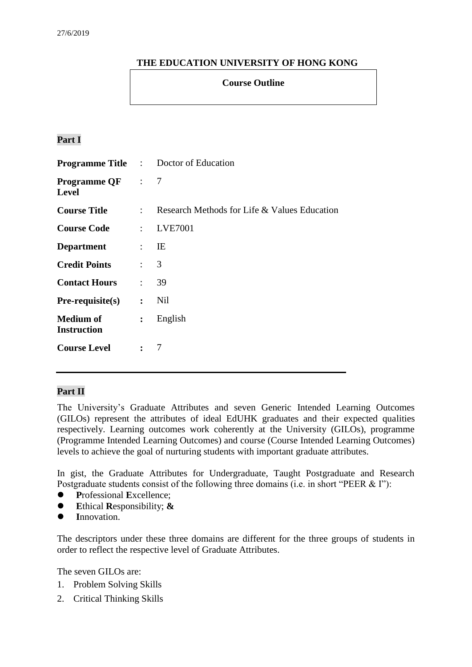## **THE EDUCATION UNIVERSITY OF HONG KONG**

#### **Course Outline**

# **Part I**

|                                         |                             | <b>Programme Title :</b> Doctor of Education |
|-----------------------------------------|-----------------------------|----------------------------------------------|
| <b>Programme QF</b> : 7<br><b>Level</b> |                             |                                              |
| <b>Course Title</b>                     | $\mathcal{L}$               | Research Methods for Life & Values Education |
| <b>Course Code</b>                      | $\mathcal{L}$               | <b>LVE7001</b>                               |
| <b>Department</b>                       | $\mathbb{R}^{\mathbb{Z}}$   | IE                                           |
| <b>Credit Points</b>                    | $\mathcal{L} = \mathcal{L}$ | 3                                            |
| <b>Contact Hours</b>                    | $\ddot{\cdot}$              | 39                                           |
| $Pre-requisite(s)$                      | $\ddot{\cdot}$              | Nil                                          |
| <b>Medium of</b><br><b>Instruction</b>  | $\ddot{\cdot}$              | English                                      |
| <b>Course Level</b>                     | $\mathbf{L}$                | 7                                            |

#### **Part II**

The University's Graduate Attributes and seven Generic Intended Learning Outcomes (GILOs) represent the attributes of ideal EdUHK graduates and their expected qualities respectively. Learning outcomes work coherently at the University (GILOs), programme (Programme Intended Learning Outcomes) and course (Course Intended Learning Outcomes) levels to achieve the goal of nurturing students with important graduate attributes.

In gist, the Graduate Attributes for Undergraduate, Taught Postgraduate and Research Postgraduate students consist of the following three domains (i.e. in short "PEER & I"):

- **P**rofessional **E**xcellence;
- **E**thical **R**esponsibility; **&**
- **I**nnovation.

The descriptors under these three domains are different for the three groups of students in order to reflect the respective level of Graduate Attributes.

The seven GILOs are:

- 1. Problem Solving Skills
- 2. Critical Thinking Skills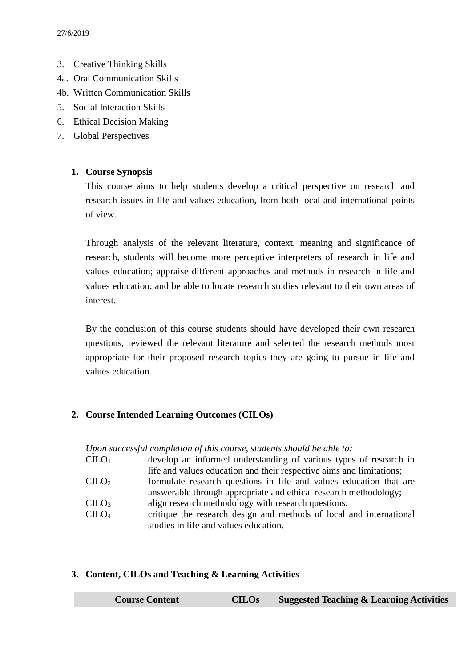- 3. Creative Thinking Skills
- 4a. Oral Communication Skills
- 4b. Written Communication Skills
- 5. Social Interaction Skills
- 6. Ethical Decision Making
- 7. Global Perspectives

### **1. Course Synopsis**

This course aims to help students develop a critical perspective on research and research issues in life and values education, from both local and international points of view.

Through analysis of the relevant literature, context, meaning and significance of research, students will become more perceptive interpreters of research in life and values education; appraise different approaches and methods in research in life and values education; and be able to locate research studies relevant to their own areas of interest.

By the conclusion of this course students should have developed their own research questions, reviewed the relevant literature and selected the research methods most appropriate for their proposed research topics they are going to pursue in life and values education.

## **2. Course Intended Learning Outcomes (CILOs)**

*Upon successful completion of this course, students should be able to:* CILO<sup>1</sup> develop an informed understanding of various types of research in life and values education and their respective aims and limitations;  $C I L O<sub>2</sub>$  formulate research questions in life and values education that are answerable through appropriate and ethical research methodology; CILO<sup>3</sup> align research methodology with research questions; CILO<sup>4</sup> critique the research design and methods of local and international studies in life and values education.

#### **3. Content, CILOs and Teaching & Learning Activities**

| <b>CILOs</b><br><b>Suggested Teaching &amp; Learning Activities</b><br><b>Course Content</b> |
|----------------------------------------------------------------------------------------------|
|----------------------------------------------------------------------------------------------|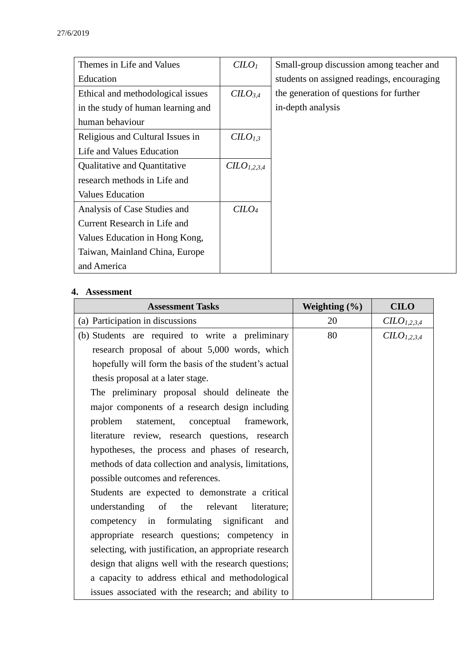| Themes in Life and Values          | CILO <sub>1</sub>      | Small-group discussion among teacher and   |
|------------------------------------|------------------------|--------------------------------------------|
| Education                          |                        | students on assigned readings, encouraging |
| Ethical and methodological issues  | CILO <sub>3.4</sub>    | the generation of questions for further    |
| in the study of human learning and |                        | in-depth analysis                          |
| human behaviour                    |                        |                                            |
| Religious and Cultural Issues in   | CILO <sub>1,3</sub>    |                                            |
| Life and Values Education          |                        |                                            |
| Qualitative and Quantitative       | CLO <sub>1,2,3,4</sub> |                                            |
| research methods in Life and       |                        |                                            |
| <b>Values Education</b>            |                        |                                            |
| Analysis of Case Studies and       | $C$                    |                                            |
| Current Research in Life and       |                        |                                            |
| Values Education in Hong Kong,     |                        |                                            |
| Taiwan, Mainland China, Europe     |                        |                                            |
| and America                        |                        |                                            |

#### **4. Assessment**

| <b>Assessment Tasks</b>                                | Weighting $(\% )$ | <b>CILO</b>             |
|--------------------------------------------------------|-------------------|-------------------------|
| (a) Participation in discussions                       | 20                | CILO <sub>1,2,3,4</sub> |
| (b) Students are required to write a preliminary       | 80                | CILO <sub>1,2,3,4</sub> |
| research proposal of about 5,000 words, which          |                   |                         |
| hopefully will form the basis of the student's actual  |                   |                         |
| thesis proposal at a later stage.                      |                   |                         |
| The preliminary proposal should delineate the          |                   |                         |
| major components of a research design including        |                   |                         |
| statement, conceptual framework,<br>problem            |                   |                         |
| literature review, research questions, research        |                   |                         |
| hypotheses, the process and phases of research,        |                   |                         |
| methods of data collection and analysis, limitations,  |                   |                         |
| possible outcomes and references.                      |                   |                         |
| Students are expected to demonstrate a critical        |                   |                         |
| understanding of the relevant<br>literature;           |                   |                         |
| competency in formulating significant<br>and           |                   |                         |
| appropriate research questions; competency in          |                   |                         |
| selecting, with justification, an appropriate research |                   |                         |
| design that aligns well with the research questions;   |                   |                         |
| a capacity to address ethical and methodological       |                   |                         |
| issues associated with the research; and ability to    |                   |                         |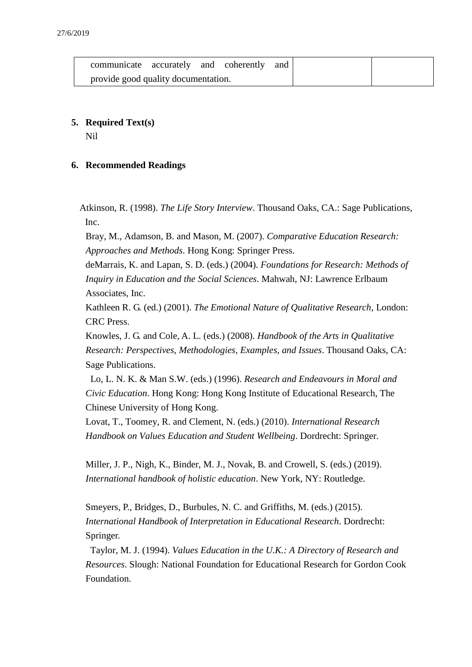|                                     | communicate accurately and coherently and |  |  |  |  |
|-------------------------------------|-------------------------------------------|--|--|--|--|
| provide good quality documentation. |                                           |  |  |  |  |

# **5. Required Text(s)**

Nil

## **6. Recommended Readings**

Atkinson, R. (1998). *The Life Story Interview*. Thousand Oaks, CA.: Sage Publications, Inc.

Bray, M., Adamson, B. and Mason, M. (2007). *Comparative Education Research: Approaches and Methods.* Hong Kong: Springer Press.

deMarrais, K. and Lapan, S. D. (eds.) (2004). *Foundations for Research: Methods of Inquiry in Education and the Social Sciences*. Mahwah, NJ: Lawrence Erlbaum Associates, Inc.

Kathleen R. G. (ed.) (2001). *The Emotional Nature of Qualitative Research*, London: CRC Press.

Knowles, J. G. and Cole, A. L. (eds.) (2008). *Handbook of the Arts in Qualitative Research: Perspectives, Methodologies, Examples, and Issues*. Thousand Oaks, CA: Sage Publications.

Lo, L. N. K. & Man S.W. (eds.) (1996). *Research and Endeavours in Moral and Civic Education*. Hong Kong: Hong Kong Institute of Educational Research, The Chinese University of Hong Kong.

Lovat, T., Toomey, R. and Clement, N. (eds.) (2010). *International Research Handbook on Values Education and Student Wellbeing*. Dordrecht: Springer.

Miller, J. P., Nigh, K., Binder, M. J., Novak, B. and Crowell, S. (eds.) (2019). *International handbook of holistic education*. New York, NY: Routledge.

Smeyers, P., Bridges, D., Burbules, N. C. and Griffiths, M. (eds.) (2015). *International Handbook of Interpretation in Educational Research*. Dordrecht: Springer.

Taylor, M. J. (1994). *Values Education in the U.K.: A Directory of Research and Resources*. Slough: National Foundation for Educational Research for Gordon Cook **Foundation**